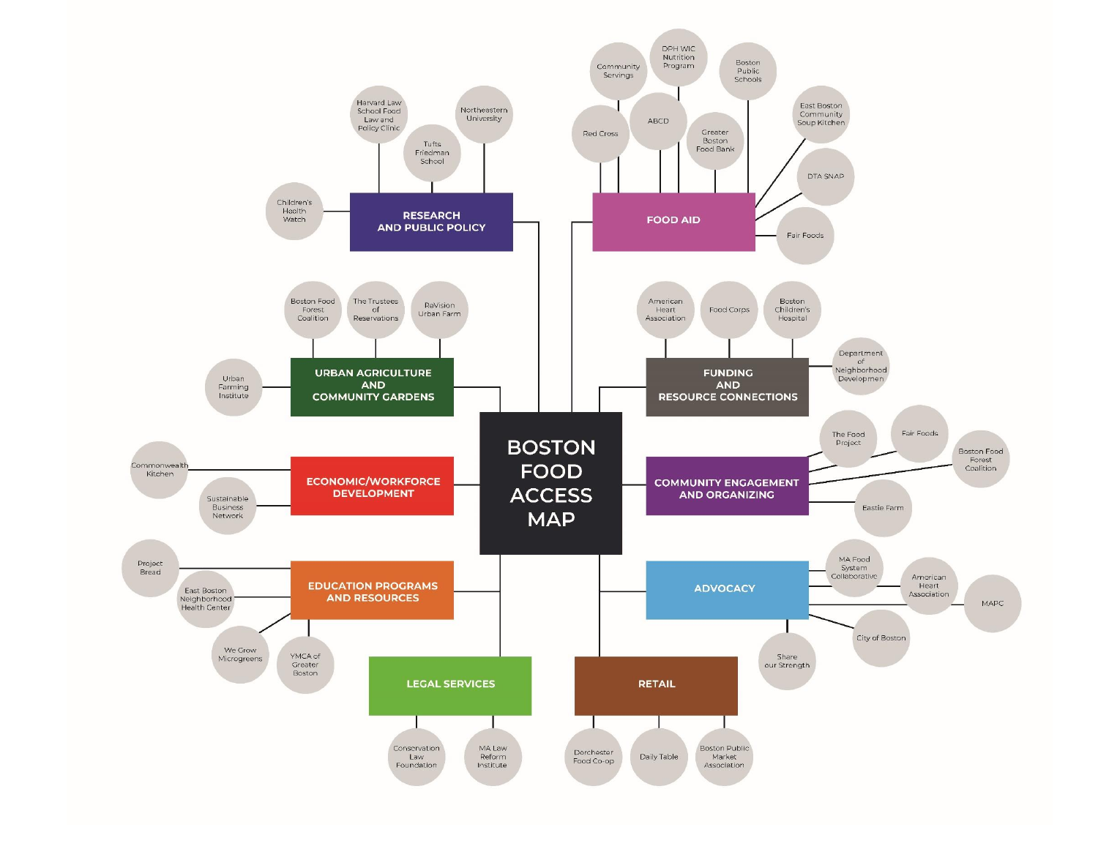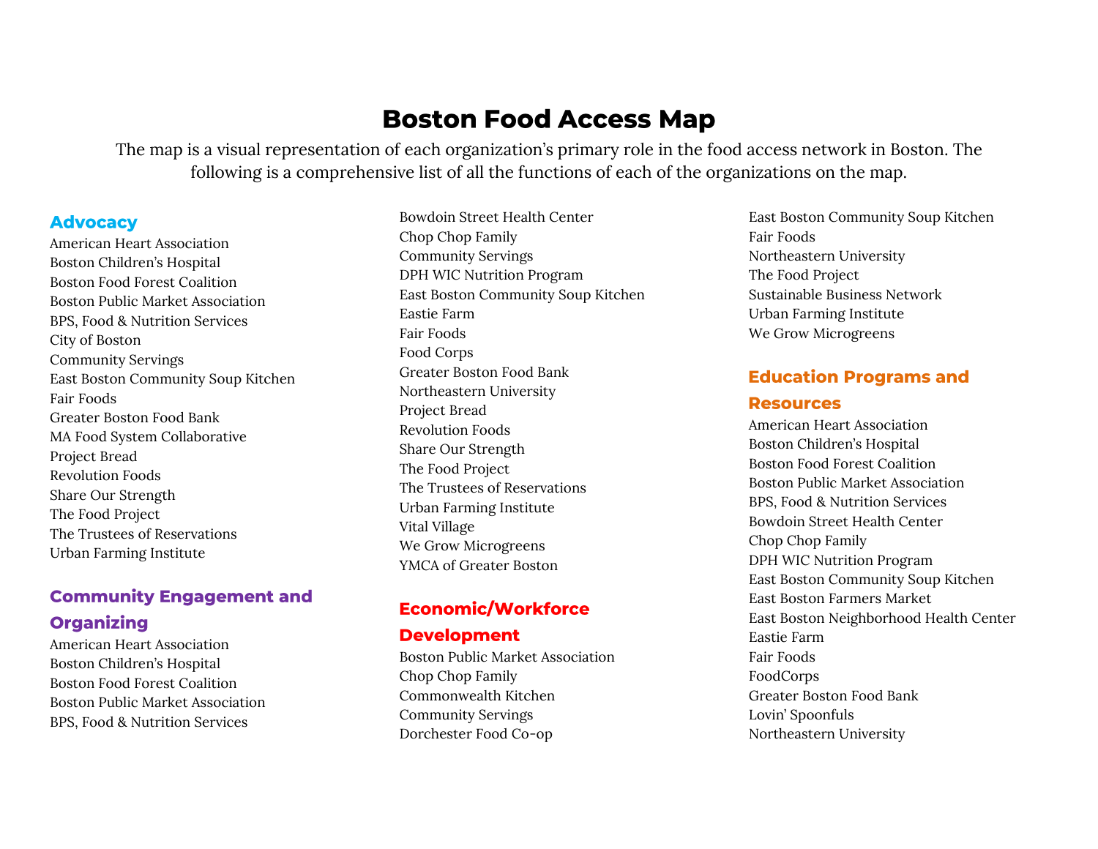# **Boston Food Access Map**

The map is a visual representation of each organization's primary role in the food access network in Boston. The following is a comprehensive list of all the functions of each of the organizations on the map.

#### **Advocacy**

American Heart Association Boston Children's Hospital Boston Food Forest Coalition Boston Public Market Association BPS, Food & Nutrition Services City of Boston Community Servings East Boston Community Soup Kitchen Fair Foods Greater Boston Food Bank MA Food System Collaborative Project Bread Revolution Foods Share Our Strength The Food Project The Trustees of Reservations Urban Farming Institute

## **Community Engagement and Organizing**

American Heart Association Boston Children's Hospital Boston Food Forest Coalition Boston Public Market Association BPS, Food & Nutrition Services

Bowdoin Street Health Center Chop Chop Family Community Servings DPH WIC Nutrition Program East Boston Community Soup Kitchen Eastie Farm Fair Foods Food Corps Greater Boston Food Bank Northeastern University Project Bread Revolution Foods Share Our Strength The Food Project The Trustees of Reservations Urban Farming Institute Vital Village We Grow Microgreens YMCA of Greater Boston

# **Economic/Workforce**

#### **Development**

Boston Public Market Association Chop Chop Family Commonwealth Kitchen Community Servings Dorchester Food Co-op

East Boston Community Soup Kitchen Fair Foods Northeastern University The Food Project Sustainable Business Network Urban Farming Institute We Grow Microgreens

# **Education Programs and Resources**

American Heart Association Boston Children's Hospital Boston Food Forest Coalition Boston Public Market Association BPS, Food & Nutrition Services Bowdoin Street Health Center Chop Chop Family DPH WIC Nutrition Program East Boston Community Soup Kitchen East Boston Farmers Market East Boston Neighborhood Health Center Eastie Farm Fair Foods FoodCorps Greater Boston Food Bank Lovin' Spoonfuls Northeastern University